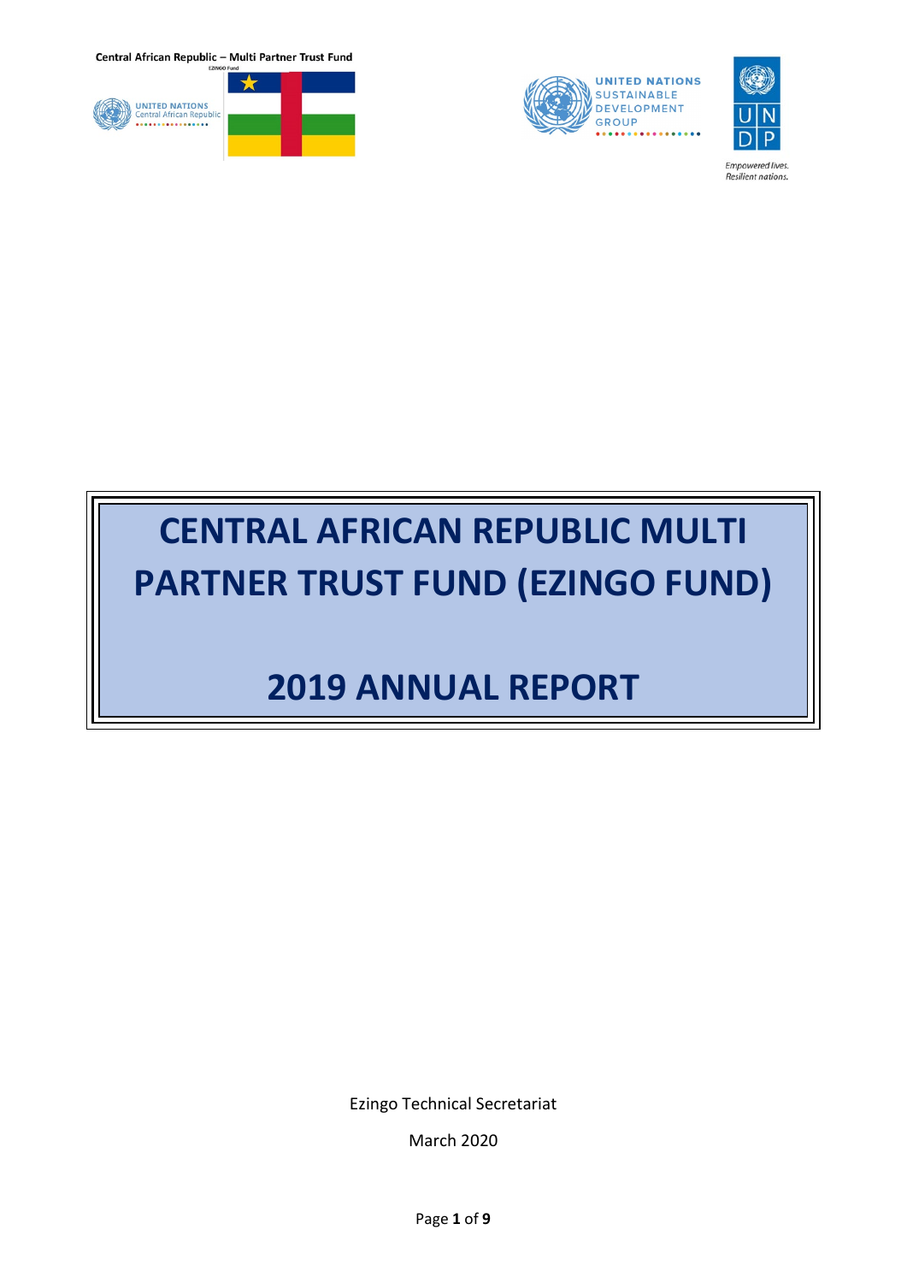





Empowered lives.<br>Resilient nations.

# **CENTRAL AFRICAN REPUBLIC MULTI PARTNER TRUST FUND (EZINGO FUND)**

## **2019 ANNUAL REPORT**

Ezingo Technical Secretariat

March 2020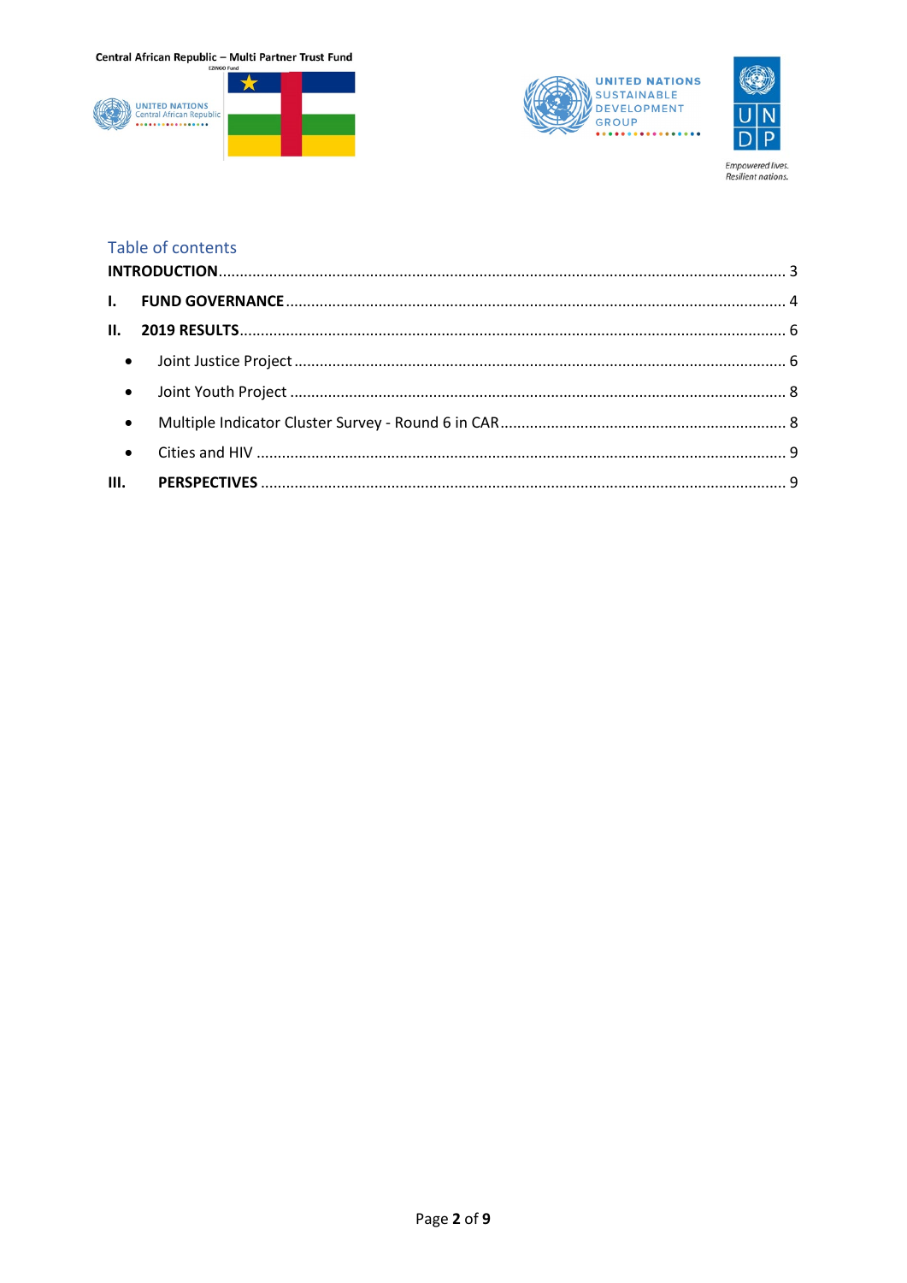





Empowered lives.<br>Resilient nations.

#### Table of contents

| $\bullet$ |  |
|-----------|--|
|           |  |
|           |  |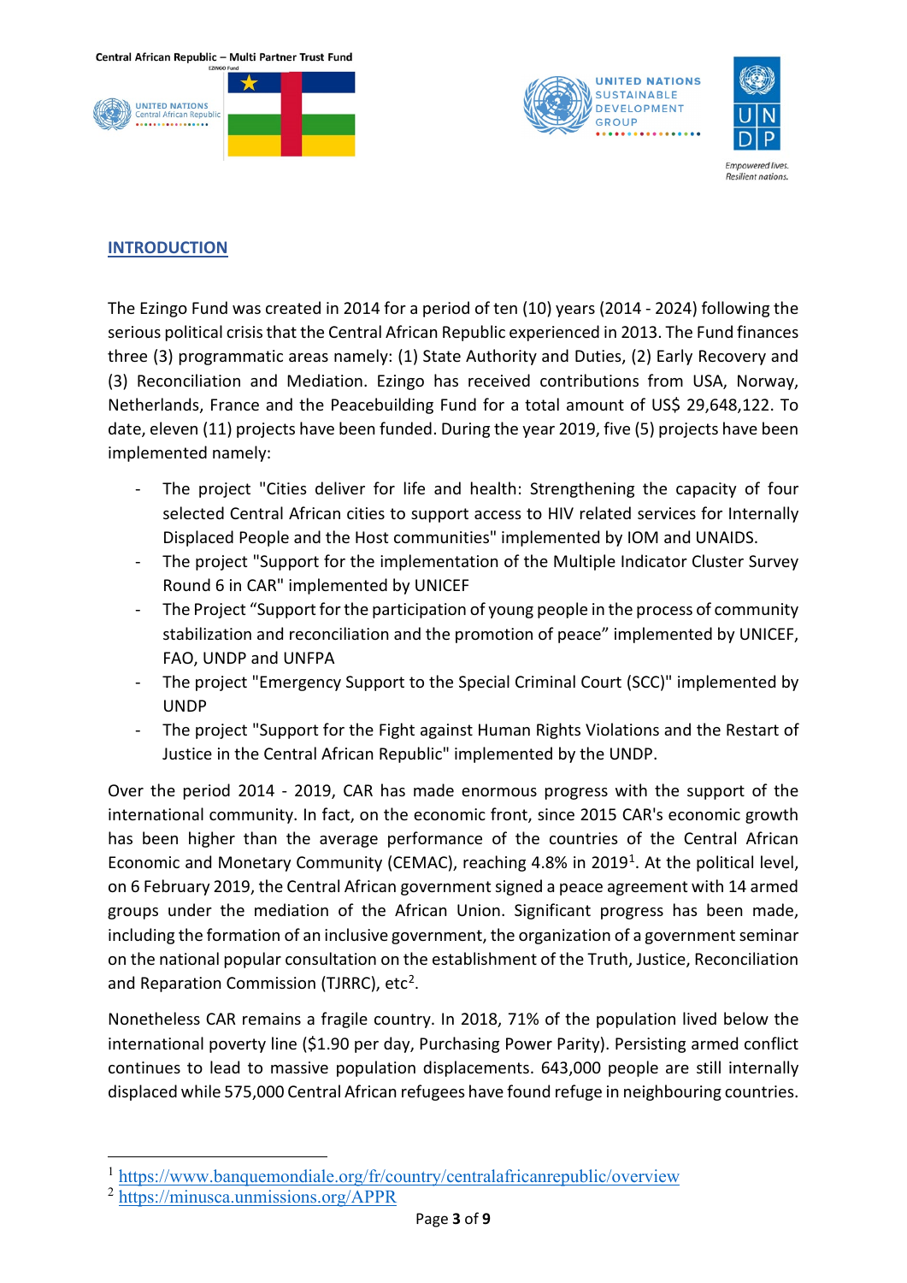





<span id="page-2-0"></span>**INTRODUCTION**

The Ezingo Fund was created in 2014 for a period of ten (10) years (2014 - 2024) following the serious political crisis that the Central African Republic experienced in 2013. The Fund finances three (3) programmatic areas namely: (1) State Authority and Duties, (2) Early Recovery and (3) Reconciliation and Mediation. Ezingo has received contributions from USA, Norway, Netherlands, France and the Peacebuilding Fund for a total amount of US\$ 29,648,122. To date, eleven (11) projects have been funded. During the year 2019, five (5) projects have been implemented namely:

- The project "Cities deliver for life and health: Strengthening the capacity of four selected Central African cities to support access to HIV related services for Internally Displaced People and the Host communities" implemented by IOM and UNAIDS.
- The project "Support for the implementation of the Multiple Indicator Cluster Survey Round 6 in CAR" implemented by UNICEF
- The Project "Support for the participation of young people in the process of community stabilization and reconciliation and the promotion of peace" implemented by UNICEF, FAO, UNDP and UNFPA
- The project "Emergency Support to the Special Criminal Court (SCC)" implemented by UNDP
- The project "Support for the Fight against Human Rights Violations and the Restart of Justice in the Central African Republic" implemented by the UNDP.

Over the period 2014 - 2019, CAR has made enormous progress with the support of the international community. In fact, on the economic front, since 2015 CAR's economic growth has been higher than the average performance of the countries of the Central African Economic and Monetary Community (CEMAC), reaching 4.8% in 20[1](#page-2-1)9<sup>1</sup>. At the political level, on 6 February 2019, the Central African government signed a peace agreement with 14 armed groups under the mediation of the African Union. Significant progress has been made, including the formation of an inclusive government, the organization of a government seminar on the national popular consultation on the establishment of the Truth, Justice, Reconciliation and Reparation Commission (TJRRC),  $etc<sup>2</sup>$  $etc<sup>2</sup>$  $etc<sup>2</sup>$ .

Nonetheless CAR remains a fragile country. In 2018, 71% of the population lived below the international poverty line (\$1.90 per day, Purchasing Power Parity). Persisting armed conflict continues to lead to massive population displacements. 643,000 people are still internally displaced while 575,000 Central African refugees have found refuge in neighbouring countries.

<span id="page-2-1"></span><sup>1</sup> <https://www.banquemondiale.org/fr/country/centralafricanrepublic/overview>

<span id="page-2-2"></span><sup>2</sup> <https://minusca.unmissions.org/APPR>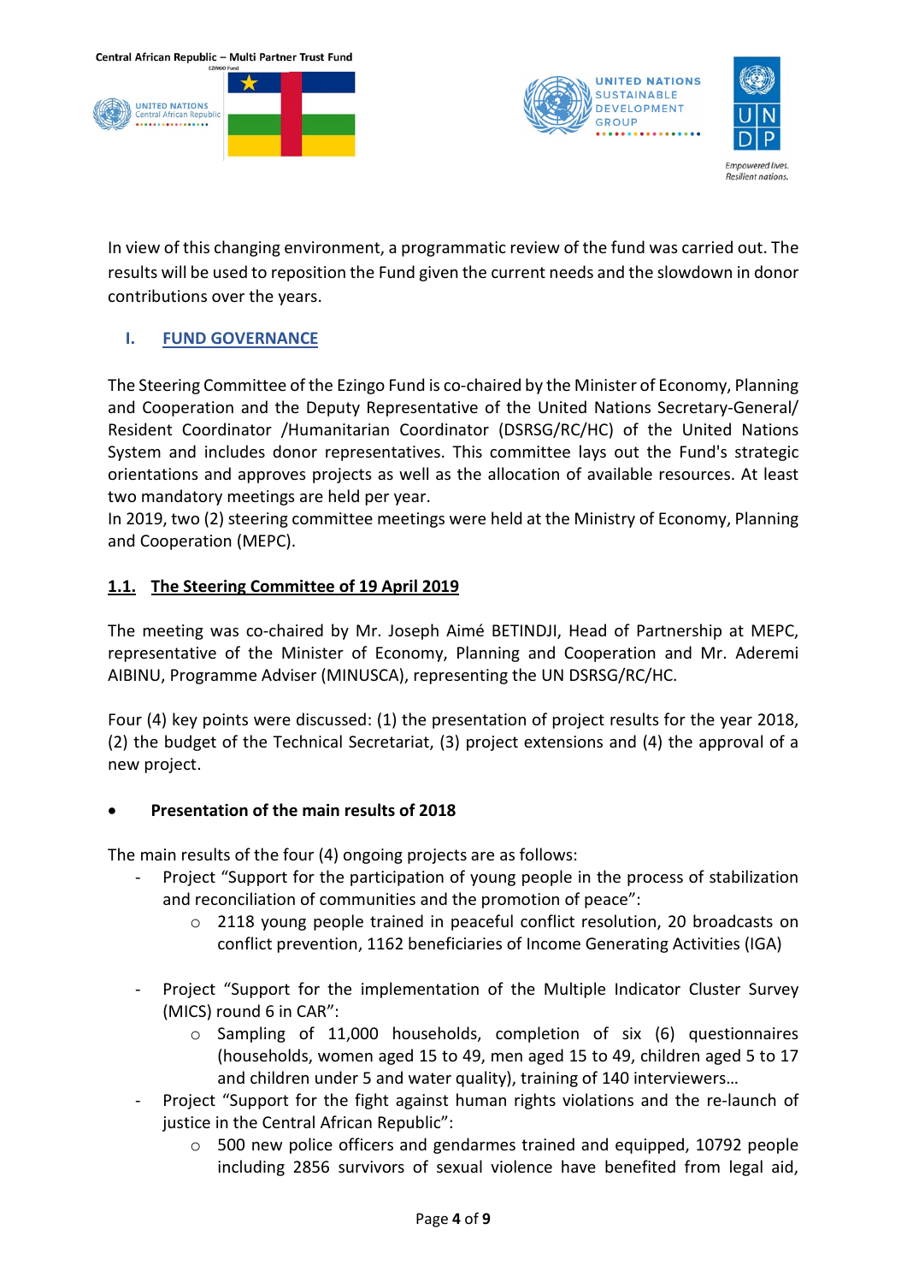





In view of this changing environment, a programmatic review of the fund was carried out. The results will be used to reposition the Fund given the current needs and the slowdown in donor contributions over the years.

### <span id="page-3-0"></span>**I. FUND GOVERNANCE**

The Steering Committee of the Ezingo Fund is co-chaired by the Minister of Economy, Planning and Cooperation and the Deputy Representative of the United Nations Secretary-General/ Resident Coordinator /Humanitarian Coordinator (DSRSG/RC/HC) of the United Nations System and includes donor representatives. This committee lays out the Fund's strategic orientations and approves projects as well as the allocation of available resources. At least two mandatory meetings are held per year.

In 2019, two (2) steering committee meetings were held at the Ministry of Economy, Planning and Cooperation (MEPC).

### **1.1. The Steering Committee of 19 April 2019**

The meeting was co-chaired by Mr. Joseph Aimé BETINDJI, Head of Partnership at MEPC, representative of the Minister of Economy, Planning and Cooperation and Mr. Aderemi AIBINU, Programme Adviser (MINUSCA), representing the UN DSRSG/RC/HC.

Four (4) key points were discussed: (1) the presentation of project results for the year 2018, (2) the budget of the Technical Secretariat, (3) project extensions and (4) the approval of a new project.

### • **Presentation of the main results of 2018**

The main results of the four (4) ongoing projects are as follows:

- Project "Support for the participation of young people in the process of stabilization and reconciliation of communities and the promotion of peace":
	- $\circ$  2118 young people trained in peaceful conflict resolution, 20 broadcasts on conflict prevention, 1162 beneficiaries of Income Generating Activities (IGA)
- Project "Support for the implementation of the Multiple Indicator Cluster Survey (MICS) round 6 in CAR":
	- o Sampling of 11,000 households, completion of six (6) questionnaires (households, women aged 15 to 49, men aged 15 to 49, children aged 5 to 17 and children under 5 and water quality), training of 140 interviewers…
- Project "Support for the fight against human rights violations and the re-launch of justice in the Central African Republic":
	- $\circ$  500 new police officers and gendarmes trained and equipped, 10792 people including 2856 survivors of sexual violence have benefited from legal aid,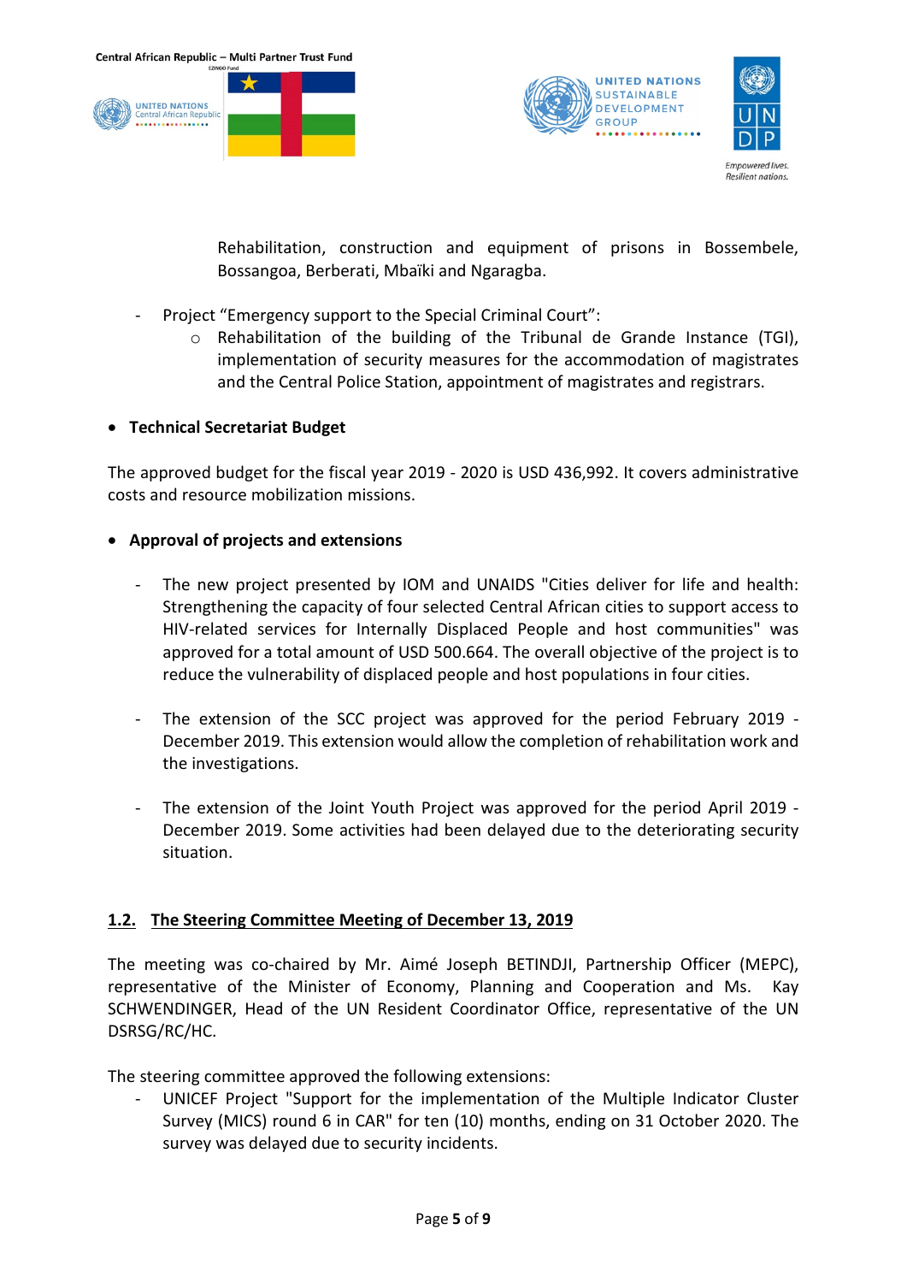



Rehabilitation, construction and equipment of prisons in Bossembele, Bossangoa, Berberati, Mbaïki and Ngaragba.

- Project "Emergency support to the Special Criminal Court":
	- $\circ$  Rehabilitation of the building of the Tribunal de Grande Instance (TGI), implementation of security measures for the accommodation of magistrates and the Central Police Station, appointment of magistrates and registrars.
- **Technical Secretariat Budget**

The approved budget for the fiscal year 2019 - 2020 is USD 436,992. It covers administrative costs and resource mobilization missions.

#### • **Approval of projects and extensions**

- The new project presented by IOM and UNAIDS "Cities deliver for life and health: Strengthening the capacity of four selected Central African cities to support access to HIV-related services for Internally Displaced People and host communities" was approved for a total amount of USD 500.664. The overall objective of the project is to reduce the vulnerability of displaced people and host populations in four cities.
- The extension of the SCC project was approved for the period February 2019 December 2019. This extension would allow the completion of rehabilitation work and the investigations.
- The extension of the Joint Youth Project was approved for the period April 2019 December 2019. Some activities had been delayed due to the deteriorating security situation.

### **1.2. The Steering Committee Meeting of December 13, 2019**

The meeting was co-chaired by Mr. Aimé Joseph BETINDJI, Partnership Officer (MEPC), representative of the Minister of Economy, Planning and Cooperation and Ms. Kay SCHWENDINGER, Head of the UN Resident Coordinator Office, representative of the UN DSRSG/RC/HC.

The steering committee approved the following extensions:

- UNICEF Project "Support for the implementation of the Multiple Indicator Cluster Survey (MICS) round 6 in CAR" for ten (10) months, ending on 31 October 2020. The survey was delayed due to security incidents.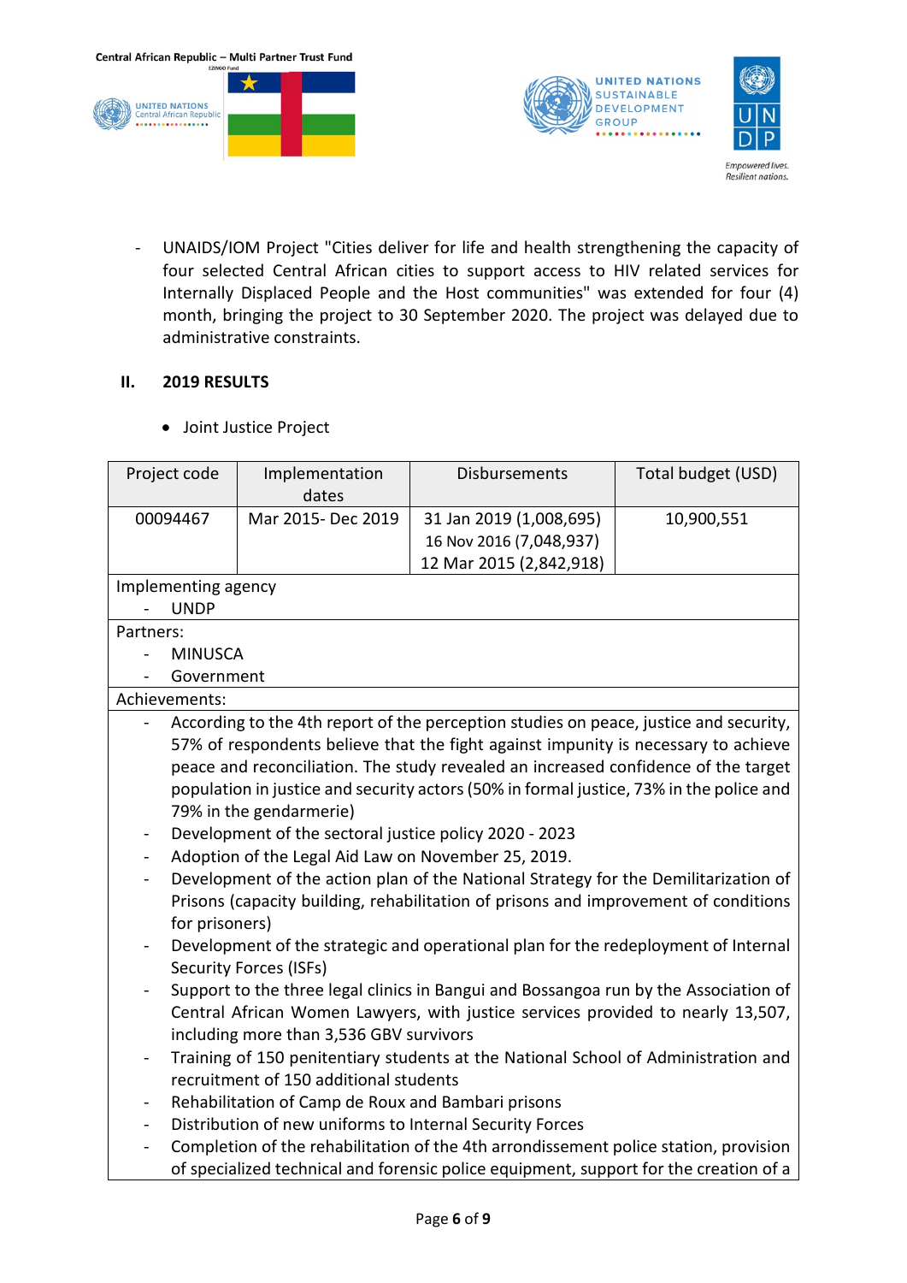





#### <span id="page-5-1"></span><span id="page-5-0"></span>**II. 2019 RESULTS**

• Joint Justice Project

| Project code             | Implementation                                                                        | Disbursements                                                                           | Total budget (USD) |  |  |
|--------------------------|---------------------------------------------------------------------------------------|-----------------------------------------------------------------------------------------|--------------------|--|--|
|                          | dates                                                                                 |                                                                                         |                    |  |  |
| 00094467                 | Mar 2015- Dec 2019                                                                    | 31 Jan 2019 (1,008,695)                                                                 | 10,900,551         |  |  |
|                          |                                                                                       | 16 Nov 2016 (7,048,937)                                                                 |                    |  |  |
|                          |                                                                                       | 12 Mar 2015 (2,842,918)                                                                 |                    |  |  |
| Implementing agency      |                                                                                       |                                                                                         |                    |  |  |
| <b>UNDP</b>              |                                                                                       |                                                                                         |                    |  |  |
| Partners:                |                                                                                       |                                                                                         |                    |  |  |
| <b>MINUSCA</b>           |                                                                                       |                                                                                         |                    |  |  |
| Government               |                                                                                       |                                                                                         |                    |  |  |
| Achievements:            |                                                                                       |                                                                                         |                    |  |  |
|                          |                                                                                       | According to the 4th report of the perception studies on peace, justice and security,   |                    |  |  |
|                          |                                                                                       | 57% of respondents believe that the fight against impunity is necessary to achieve      |                    |  |  |
|                          |                                                                                       | peace and reconciliation. The study revealed an increased confidence of the target      |                    |  |  |
|                          |                                                                                       | population in justice and security actors (50% in formal justice, 73% in the police and |                    |  |  |
|                          | 79% in the gendarmerie)                                                               |                                                                                         |                    |  |  |
|                          | Development of the sectoral justice policy 2020 - 2023                                |                                                                                         |                    |  |  |
|                          | Adoption of the Legal Aid Law on November 25, 2019.                                   |                                                                                         |                    |  |  |
|                          |                                                                                       | Development of the action plan of the National Strategy for the Demilitarization of     |                    |  |  |
|                          |                                                                                       | Prisons (capacity building, rehabilitation of prisons and improvement of conditions     |                    |  |  |
|                          | for prisoners)                                                                        |                                                                                         |                    |  |  |
| -                        | Development of the strategic and operational plan for the redeployment of Internal    |                                                                                         |                    |  |  |
|                          | <b>Security Forces (ISFs)</b>                                                         |                                                                                         |                    |  |  |
|                          | Support to the three legal clinics in Bangui and Bossangoa run by the Association of  |                                                                                         |                    |  |  |
|                          | Central African Women Lawyers, with justice services provided to nearly 13,507,       |                                                                                         |                    |  |  |
|                          | including more than 3,536 GBV survivors                                               |                                                                                         |                    |  |  |
|                          | Training of 150 penitentiary students at the National School of Administration and    |                                                                                         |                    |  |  |
|                          | recruitment of 150 additional students                                                |                                                                                         |                    |  |  |
| $\overline{\phantom{0}}$ | Rehabilitation of Camp de Roux and Bambari prisons                                    |                                                                                         |                    |  |  |
|                          | Distribution of new uniforms to Internal Security Forces                              |                                                                                         |                    |  |  |
|                          | Completion of the rehabilitation of the 4th arrondissement police station, provision  |                                                                                         |                    |  |  |
|                          | of specialized technical and forensic police equipment, support for the creation of a |                                                                                         |                    |  |  |
|                          |                                                                                       |                                                                                         |                    |  |  |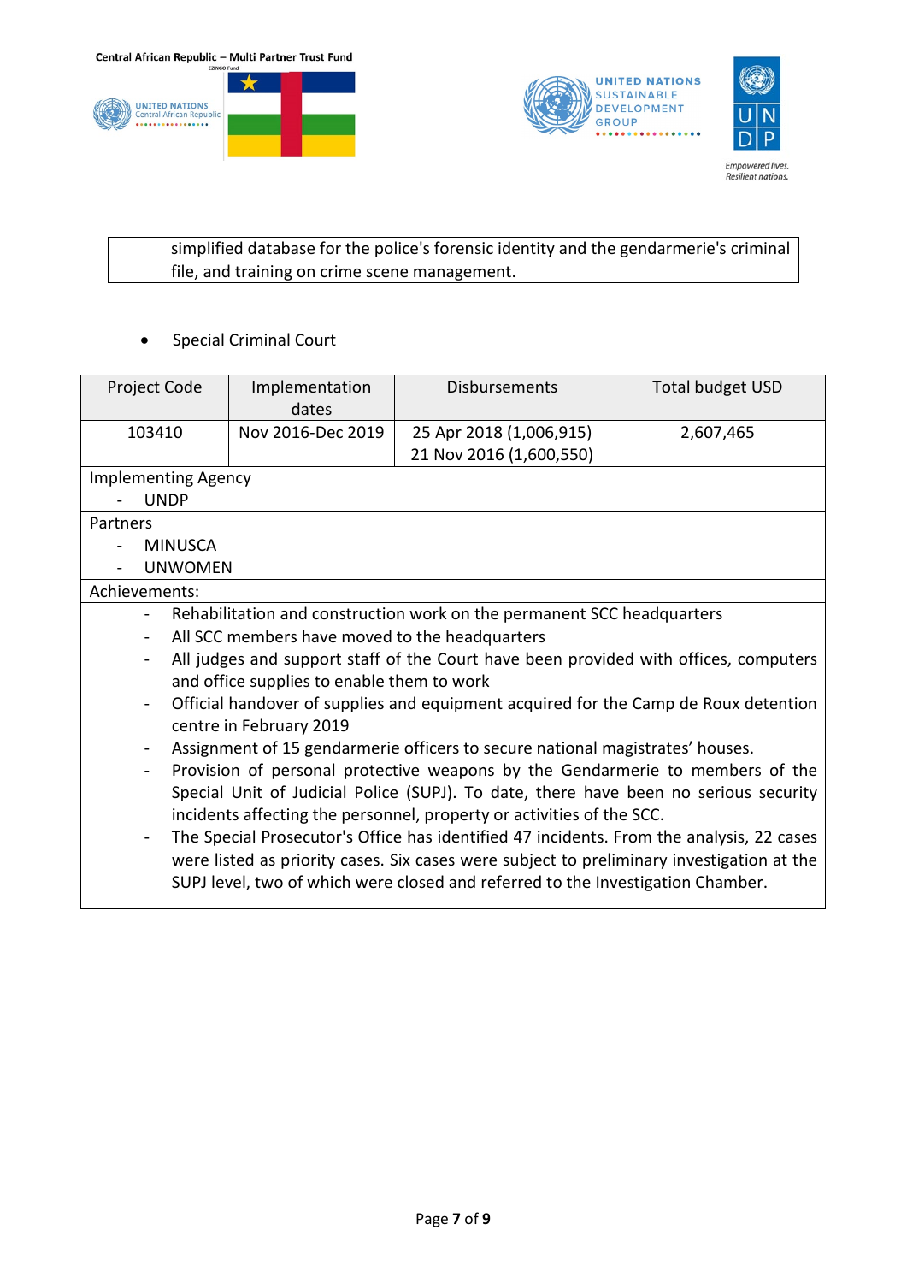





simplified database for the police's forensic identity and the gendarmerie's criminal file, and training on crime scene management.

• Special Criminal Court

| Project Code               | Implementation<br>dates                                                                   | <b>Disbursements</b>                                                   | <b>Total budget USD</b> |  |  |
|----------------------------|-------------------------------------------------------------------------------------------|------------------------------------------------------------------------|-------------------------|--|--|
| 103410                     | Nov 2016-Dec 2019                                                                         | 25 Apr 2018 (1,006,915)                                                | 2,607,465               |  |  |
|                            |                                                                                           | 21 Nov 2016 (1,600,550)                                                |                         |  |  |
| <b>Implementing Agency</b> |                                                                                           |                                                                        |                         |  |  |
| <b>UNDP</b>                |                                                                                           |                                                                        |                         |  |  |
| Partners                   |                                                                                           |                                                                        |                         |  |  |
| <b>MINUSCA</b>             |                                                                                           |                                                                        |                         |  |  |
| <b>UNWOMEN</b>             |                                                                                           |                                                                        |                         |  |  |
| Achievements:              |                                                                                           |                                                                        |                         |  |  |
|                            |                                                                                           | Rehabilitation and construction work on the permanent SCC headquarters |                         |  |  |
| $\overline{\phantom{0}}$   | All SCC members have moved to the headquarters                                            |                                                                        |                         |  |  |
|                            | All judges and support staff of the Court have been provided with offices, computers      |                                                                        |                         |  |  |
|                            | and office supplies to enable them to work                                                |                                                                        |                         |  |  |
|                            | Official handover of supplies and equipment acquired for the Camp de Roux detention       |                                                                        |                         |  |  |
|                            | centre in February 2019                                                                   |                                                                        |                         |  |  |
|                            | Assignment of 15 gendarmerie officers to secure national magistrates' houses.             |                                                                        |                         |  |  |
| $\blacksquare$             | Provision of personal protective weapons by the Gendarmerie to members of the             |                                                                        |                         |  |  |
|                            | Special Unit of Judicial Police (SUPJ). To date, there have been no serious security      |                                                                        |                         |  |  |
|                            | incidents affecting the personnel, property or activities of the SCC.                     |                                                                        |                         |  |  |
| $\overline{\phantom{0}}$   | The Special Prosecutor's Office has identified 47 incidents. From the analysis, 22 cases  |                                                                        |                         |  |  |
|                            | were listed as priority cases. Six cases were subject to preliminary investigation at the |                                                                        |                         |  |  |
|                            | SUPJ level, two of which were closed and referred to the Investigation Chamber.           |                                                                        |                         |  |  |
|                            |                                                                                           |                                                                        |                         |  |  |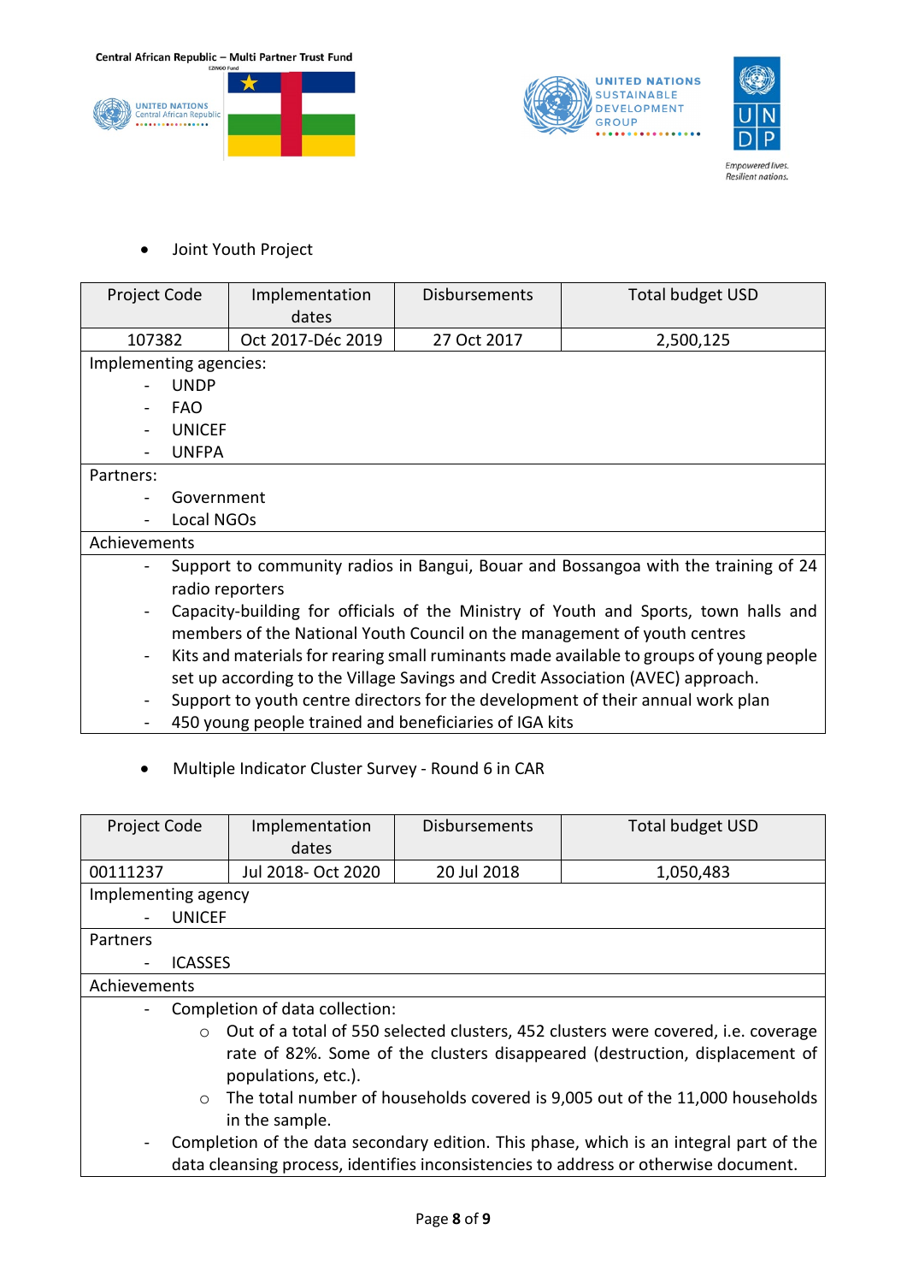





Empowered lives.<br>Resilient nations.

#### <span id="page-7-0"></span>• Joint Youth Project

| Project Code                 | Implementation<br>dates                                                                 | <b>Disbursements</b> | <b>Total budget USD</b> |  |  |
|------------------------------|-----------------------------------------------------------------------------------------|----------------------|-------------------------|--|--|
| 107382                       | Oct 2017-Déc 2019                                                                       | 27 Oct 2017          | 2,500,125               |  |  |
| Implementing agencies:       |                                                                                         |                      |                         |  |  |
|                              | <b>UNDP</b>                                                                             |                      |                         |  |  |
| FAO.                         |                                                                                         |                      |                         |  |  |
|                              | <b>UNICEF</b>                                                                           |                      |                         |  |  |
|                              | <b>UNFPA</b>                                                                            |                      |                         |  |  |
| Partners:                    |                                                                                         |                      |                         |  |  |
|                              | Government                                                                              |                      |                         |  |  |
|                              | Local NGOs                                                                              |                      |                         |  |  |
| Achievements                 |                                                                                         |                      |                         |  |  |
|                              | Support to community radios in Bangui, Bouar and Bossangoa with the training of 24      |                      |                         |  |  |
|                              | radio reporters                                                                         |                      |                         |  |  |
| $\qquad \qquad \blacksquare$ | Capacity-building for officials of the Ministry of Youth and Sports, town halls and     |                      |                         |  |  |
|                              | members of the National Youth Council on the management of youth centres                |                      |                         |  |  |
| $\blacksquare$               | Kits and materials for rearing small ruminants made available to groups of young people |                      |                         |  |  |
|                              | set up according to the Village Savings and Credit Association (AVEC) approach.         |                      |                         |  |  |

- Support to youth centre directors for the development of their annual work plan
- 450 young people trained and beneficiaries of IGA kits
- <span id="page-7-1"></span>• Multiple Indicator Cluster Survey - Round 6 in CAR

| Project Code                                                                                             | Implementation     | <b>Disbursements</b> | <b>Total budget USD</b> |  |  |
|----------------------------------------------------------------------------------------------------------|--------------------|----------------------|-------------------------|--|--|
|                                                                                                          | dates              |                      |                         |  |  |
| 00111237                                                                                                 | Jul 2018- Oct 2020 | 20 Jul 2018          | 1,050,483               |  |  |
| Implementing agency                                                                                      |                    |                      |                         |  |  |
|                                                                                                          | <b>UNICEF</b>      |                      |                         |  |  |
| Partners                                                                                                 |                    |                      |                         |  |  |
| <b>ICASSES</b>                                                                                           |                    |                      |                         |  |  |
| Achievements                                                                                             |                    |                      |                         |  |  |
| Completion of data collection:                                                                           |                    |                      |                         |  |  |
| Out of a total of 550 selected clusters, 452 clusters were covered, i.e. coverage<br>$\circ$             |                    |                      |                         |  |  |
| rate of 82%. Some of the clusters disappeared (destruction, displacement of                              |                    |                      |                         |  |  |
| populations, etc.).                                                                                      |                    |                      |                         |  |  |
| The total number of households covered is 9,005 out of the 11,000 households<br>$\circ$                  |                    |                      |                         |  |  |
| in the sample.                                                                                           |                    |                      |                         |  |  |
| Completion of the data secondary edition. This phase, which is an integral part of the<br>$\blacksquare$ |                    |                      |                         |  |  |
| data cleansing process, identifies inconsistencies to address or otherwise document.                     |                    |                      |                         |  |  |